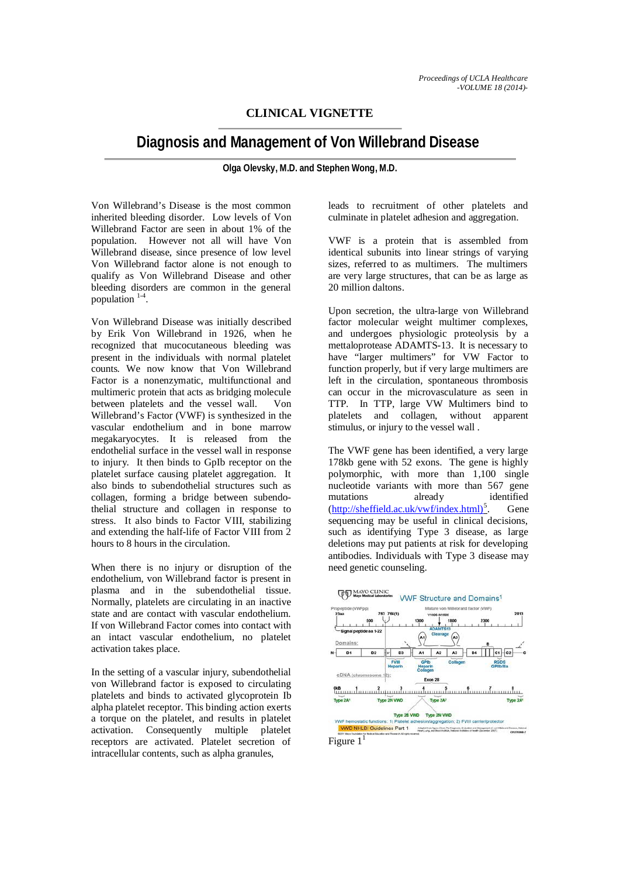# **CLINICAL VIGNETTE**

# **Diagnosis and Management of Von Willebrand Disease**

**Olga Olevsky, M.D. and Stephen Wong, M.D.**

Von Willebrand's Disease is the most common inherited bleeding disorder. Low levels of Von Willebrand Factor are seen in about 1% of the population. However not all will have Von Willebrand disease, since presence of low level Von Willebrand factor alone is not enough to qualify as Von Willebrand Disease and other bleeding disorders are common in the general population  $1-4$ .

Von Willebrand Disease was initially described by Erik Von Willebrand in 1926, when he recognized that mucocutaneous bleeding was present in the individuals with normal platelet counts. We now know that Von Willebrand Factor is a nonenzymatic, multifunctional and multimeric protein that acts as bridging molecule between platelets and the vessel wall. Von Willebrand's Factor (VWF) is synthesized in the vascular endothelium and in bone marrow megakaryocytes. It is released from the endothelial surface in the vessel wall in response to injury. It then binds to GpIb receptor on the platelet surface causing platelet aggregation. It also binds to subendothelial structures such as collagen, forming a bridge between subendothelial structure and collagen in response to stress. It also binds to Factor VIII, stabilizing and extending the half-life of Factor VIII from 2 hours to 8 hours in the circulation.

When there is no injury or disruption of the endothelium, von Willebrand factor is present in plasma and in the subendothelial tissue. Normally, platelets are circulating in an inactive state and are contact with vascular endothelium. If von Willebrand Factor comes into contact with an intact vascular endothelium, no platelet activation takes place.

In the setting of a vascular injury, subendothelial von Willebrand factor is exposed to circulating platelets and binds to activated glycoprotein Ib alpha platelet receptor. This binding action exerts a torque on the platelet, and results in platelet activation. Consequently multiple platelet receptors are activated. Platelet secretion of intracellular contents, such as alpha granules,

leads to recruitment of other platelets and culminate in platelet adhesion and aggregation.

VWF is a protein that is assembled from identical subunits into linear strings of varying sizes, referred to as multimers. The multimers are very large structures, that can be as large as 20 million daltons.

Upon secretion, the ultra-large von Willebrand factor molecular weight multimer complexes, and undergoes physiologic proteolysis by a mettaloprotease ADAMTS-13. It is necessary to have "larger multimers" for VW Factor to function properly, but if very large multimers are left in the circulation, spontaneous thrombosis can occur in the microvasculature as seen in TTP. In TTP, large VW Multimers bind to platelets and collagen, without apparent stimulus, or injury to the vessel wall .

The VWF gene has been identified, a very large 178kb gene with 52 exons. The gene is highly polymorphic, with more than 1,100 single nucleotide variants with more than 567 gene mutations already identified (http://sheffield.ac.uk/vwf/index.html)<sup>5</sup> . Gene sequencing may be useful in clinical decisions, such as identifying Type 3 disease, as large deletions may put patients at risk for developing antibodies. Individuals with Type 3 disease may need genetic counseling.

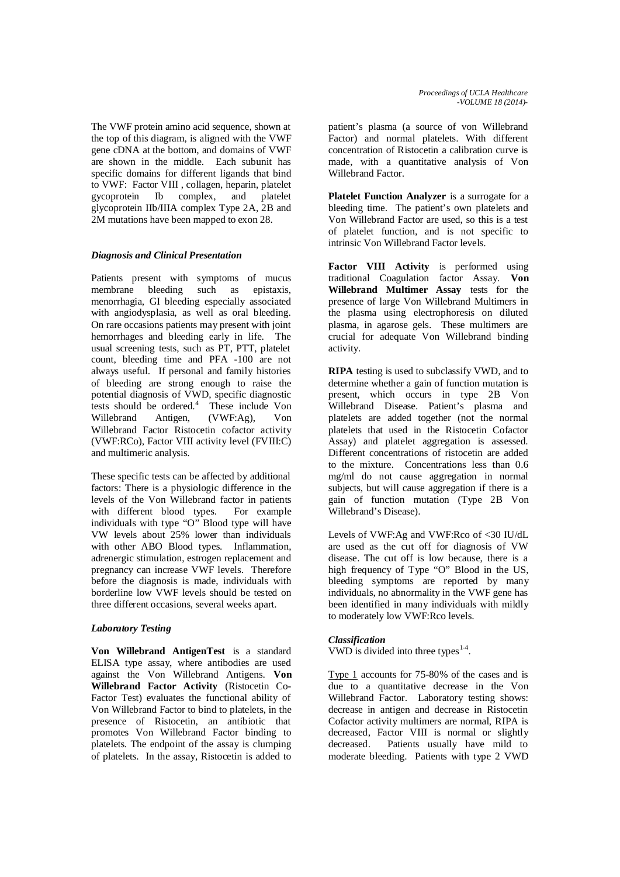The VWF protein amino acid sequence, shown at the top of this diagram, is aligned with the VWF gene cDNA at the bottom, and domains of VWF are shown in the middle. Each subunit has specific domains for different ligands that bind to VWF: Factor VIII , collagen, heparin, platelet gycoprotein Ib complex, and platelet glycoprotein IIb/IIIA complex Type 2A, 2B and 2M mutations have been mapped to exon 28.

# *Diagnosis and Clinical Presentation*

Patients present with symptoms of mucus membrane bleeding such as epistaxis, menorrhagia, GI bleeding especially associated with angiodysplasia, as well as oral bleeding. On rare occasions patients may present with joint hemorrhages and bleeding early in life. The usual screening tests, such as PT, PTT, platelet count, bleeding time and PFA -100 are not always useful. If personal and family histories of bleeding are strong enough to raise the potential diagnosis of VWD, specific diagnostic tests should be ordered.<sup>4</sup> These include Von Willebrand Antigen, (VWF:Ag), Von Willebrand Factor Ristocetin cofactor activity (VWF:RCo), Factor VIII activity level (FVIII:C) and multimeric analysis.

These specific tests can be affected by additional factors: There is a physiologic difference in the levels of the Von Willebrand factor in patients with different blood types. For example individuals with type "O" Blood type will have VW levels about 25% lower than individuals with other ABO Blood types. Inflammation, adrenergic stimulation, estrogen replacement and pregnancy can increase VWF levels. Therefore before the diagnosis is made, individuals with borderline low VWF levels should be tested on three different occasions, several weeks apart.

#### *Laboratory Testing*

**Von Willebrand AntigenTest** is a standard ELISA type assay, where antibodies are used against the Von Willebrand Antigens. **Von Willebrand Factor Activity** (Ristocetin Co-Factor Test) evaluates the functional ability of Von Willebrand Factor to bind to platelets, in the presence of Ristocetin, an antibiotic that promotes Von Willebrand Factor binding to platelets. The endpoint of the assay is clumping of platelets. In the assay, Ristocetin is added to

patient's plasma (a source of von Willebrand Factor) and normal platelets. With different concentration of Ristocetin a calibration curve is made, with a quantitative analysis of Von Willebrand Factor.

**Platelet Function Analyzer** is a surrogate for a bleeding time. The patient's own platelets and Von Willebrand Factor are used, so this is a test of platelet function, and is not specific to intrinsic Von Willebrand Factor levels.

**Factor VIII Activity** is performed using traditional Coagulation factor Assay. **Von Willebrand Multimer Assay** tests for the presence of large Von Willebrand Multimers in the plasma using electrophoresis on diluted plasma, in agarose gels. These multimers are crucial for adequate Von Willebrand binding activity.

**RIPA** testing is used to subclassify VWD, and to determine whether a gain of function mutation is present, which occurs in type 2B Von Willebrand Disease. Patient's plasma and platelets are added together (not the normal platelets that used in the Ristocetin Cofactor Assay) and platelet aggregation is assessed. Different concentrations of ristocetin are added to the mixture. Concentrations less than 0.6 mg/ml do not cause aggregation in normal subjects, but will cause aggregation if there is a gain of function mutation (Type 2B Von Willebrand's Disease).

Levels of VWF:Ag and VWF:Rco of <30 IU/dL are used as the cut off for diagnosis of VW disease. The cut off is low because, there is a high frequency of Type "O" Blood in the US, bleeding symptoms are reported by many individuals, no abnormality in the VWF gene has been identified in many individuals with mildly to moderately low VWF:Rco levels.

# *Classification*

VWD is divided into three types<sup>1-4</sup>.

Type 1 accounts for 75-80% of the cases and is due to a quantitative decrease in the Von Willebrand Factor. Laboratory testing shows: decrease in antigen and decrease in Ristocetin Cofactor activity multimers are normal, RIPA is decreased, Factor VIII is normal or slightly decreased. Patients usually have mild to moderate bleeding. Patients with type 2 VWD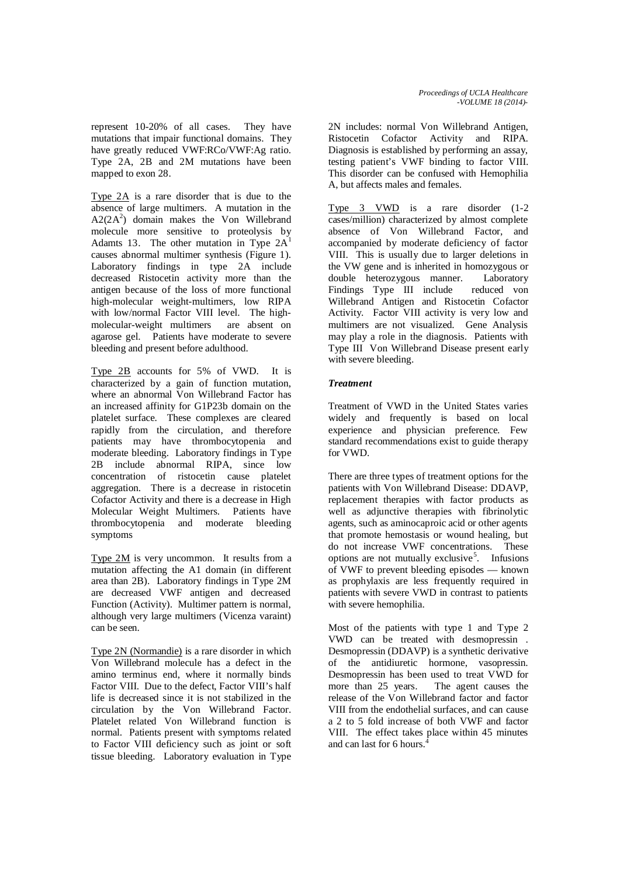represent 10-20% of all cases. They have mutations that impair functional domains. They have greatly reduced VWF:RCo/VWF:Ag ratio. Type 2A, 2B and 2M mutations have been mapped to exon 28.

Type 2A is a rare disorder that is due to the absence of large multimers. A mutation in the  $A2(2A<sup>2</sup>)$  domain makes the Von Willebrand molecule more sensitive to proteolysis by Adamts 13. The other mutation in Type  $2A<sup>1</sup>$ causes abnormal multimer synthesis (Figure 1). Laboratory findings in type 2A include decreased Ristocetin activity more than the antigen because of the loss of more functional high-molecular weight-multimers, low RIPA with low/normal Factor VIII level. The highmolecular-weight multimers are absent on agarose gel. Patients have moderate to severe bleeding and present before adulthood.

Type 2B accounts for 5% of VWD. It is characterized by a gain of function mutation, where an abnormal Von Willebrand Factor has an increased affinity for G1P23b domain on the platelet surface. These complexes are cleared rapidly from the circulation, and therefore patients may have thrombocytopenia and moderate bleeding. Laboratory findings in Type 2B include abnormal RIPA, since low concentration of ristocetin cause platelet aggregation. There is a decrease in ristocetin Cofactor Activity and there is a decrease in High Molecular Weight Multimers. Patients have thrombocytopenia and moderate bleeding symptoms

Type 2M is very uncommon. It results from a mutation affecting the A1 domain (in different area than 2B). Laboratory findings in Type 2M are decreased VWF antigen and decreased Function (Activity). Multimer pattern is normal, although very large multimers (Vicenza varaint) can be seen.

Type 2N (Normandie) is a rare disorder in which Von Willebrand molecule has a defect in the amino terminus end, where it normally binds Factor VIII. Due to the defect, Factor VIII's half life is decreased since it is not stabilized in the circulation by the Von Willebrand Factor. Platelet related Von Willebrand function is normal. Patients present with symptoms related to Factor VIII deficiency such as joint or soft tissue bleeding. Laboratory evaluation in Type

2N includes: normal Von Willebrand Antigen, Ristocetin Cofactor Activity and RIPA. Diagnosis is established by performing an assay, testing patient's VWF binding to factor VIII. This disorder can be confused with Hemophilia A, but affects males and females.

Type 3 VWD is a rare disorder (1-2 cases/million) characterized by almost complete absence of Von Willebrand Factor, and accompanied by moderate deficiency of factor VIII. This is usually due to larger deletions in the VW gene and is inherited in homozygous or double heterozygous manner. Laboratory Findings Type III include reduced von Willebrand Antigen and Ristocetin Cofactor Activity. Factor VIII activity is very low and multimers are not visualized. Gene Analysis may play a role in the diagnosis. Patients with Type III Von Willebrand Disease present early with severe bleeding.

# *Treatment*

Treatment of VWD in the United States varies widely and frequently is based on local experience and physician preference. Few standard recommendations exist to guide therapy for VWD.

There are three types of treatment options for the patients with Von Willebrand Disease: DDAVP, replacement therapies with factor products as well as adjunctive therapies with fibrinolytic agents, such as aminocaproic acid or other agents that promote hemostasis or wound healing, but do not increase VWF concentrations. These options are not mutually exclusive<sup>5</sup>. Infusions of VWF to prevent bleeding episodes — known as prophylaxis are less frequently required in patients with severe VWD in contrast to patients with severe hemophilia.

Most of the patients with type 1 and Type 2 VWD can be treated with desmopressin . Desmopressin (DDAVP) is a synthetic derivative of the antidiuretic hormone, vasopressin. Desmopressin has been used to treat VWD for more than 25 years. The agent causes the release of the Von Willebrand factor and factor VIII from the endothelial surfaces, and can cause a 2 to 5 fold increase of both VWF and factor VIII. The effect takes place within 45 minutes and can last for 6 hours.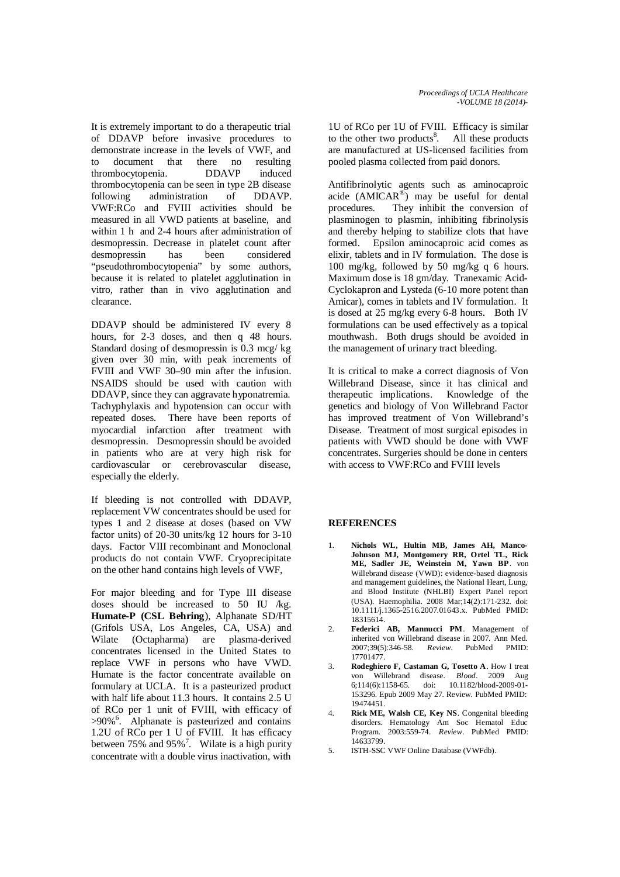It is extremely important to do a therapeutic trial of DDAVP before invasive procedures to demonstrate increase in the levels of VWF, and to document that there no resulting thrombocytopenia. DDAVP induced thrombocytopenia can be seen in type 2B disease following administration of DDAVP. VWF:RCo and FVIII activities should be measured in all VWD patients at baseline, and within 1 h and 2-4 hours after administration of desmopressin. Decrease in platelet count after desmopressin has been considered "pseudothrombocytopenia" by some authors, because it is related to platelet agglutination in vitro, rather than in vivo agglutination and clearance.

DDAVP should be administered IV every 8 hours, for 2-3 doses, and then q 48 hours. Standard dosing of desmopressin is 0.3 mcg/ kg given over 30 min, with peak increments of FVIII and VWF 30–90 min after the infusion. NSAIDS should be used with caution with DDAVP, since they can aggravate hyponatremia. Tachyphylaxis and hypotension can occur with repeated doses. There have been reports of myocardial infarction after treatment with desmopressin. Desmopressin should be avoided in patients who are at very high risk for cardiovascular or cerebrovascular disease, especially the elderly.

If bleeding is not controlled with DDAVP, replacement VW concentrates should be used for types 1 and 2 disease at doses (based on VW factor units) of 20-30 units/kg 12 hours for 3-10 days. Factor VIII recombinant and Monoclonal products do not contain VWF. Cryoprecipitate on the other hand contains high levels of VWF,

For major bleeding and for Type III disease doses should be increased to 50 IU /kg. **Humate-P (CSL Behring**), Alphanate SD/HT (Grifols USA, Los Angeles, CA, USA) and Wilate (Octapharma) are plasma-derived concentrates licensed in the United States to replace VWF in persons who have VWD. Humate is the factor concentrate available on formulary at UCLA. It is a pasteurized product with half life about 11.3 hours. It contains 2.5 U of RCo per 1 unit of FVIII, with efficacy of >90%<sup>6</sup>. Alphanate is pasteurized and contains 1.2U of RCo per 1 U of FVIII. It has efficacy between 75% and 95%<sup>7</sup>. Wilate is a high purity concentrate with a double virus inactivation, with

1U of RCo per 1U of FVIII. Efficacy is similar to the other two products $8$ . All these products are manufactured at US-licensed facilities from pooled plasma collected from paid donors.

Antifibrinolytic agents such as aminocaproic acide  $(AMICAR<sup>®</sup>)$  may be useful for dental procedures. They inhibit the conversion of plasminogen to plasmin, inhibiting fibrinolysis and thereby helping to stabilize clots that have formed. Epsilon aminocaproic acid comes as elixir, tablets and in IV formulation. The dose is 100 mg/kg, followed by 50 mg/kg q 6 hours. Maximum dose is 18 gm/day. Tranexamic Acid-Cyclokapron and Lysteda (6-10 more potent than Amicar), comes in tablets and IV formulation. It is dosed at 25 mg/kg every 6-8 hours. Both IV formulations can be used effectively as a topical mouthwash. Both drugs should be avoided in the management of urinary tract bleeding.

It is critical to make a correct diagnosis of Von Willebrand Disease, since it has clinical and therapeutic implications. Knowledge of the genetics and biology of Von Willebrand Factor has improved treatment of Von Willebrand's Disease. Treatment of most surgical episodes in patients with VWD should be done with VWF concentrates. Surgeries should be done in centers with access to VWF:RCo and FVIII levels

#### **REFERENCES**

- 1. **Nichols WL, Hultin MB, James AH, Manco-Johnson MJ, Montgomery RR, Ortel TL, Rick ME, Sadler JE, Weinstein M, Yawn BP**. von Willebrand disease (VWD): evidence-based diagnosis and management guidelines, the National Heart, Lung, and Blood Institute (NHLBI) Expert Panel report (USA). Haemophilia. 2008 Mar;14(2):171-232. doi: 10.1111/j.1365-2516.2007.01643.x. PubMed PMID: 18315614.
- 2. **Federici AB, Mannucci PM**. Management of inherited von Willebrand disease in 2007. Ann Med. 2007;39(5):346-58. *Review*. PubMed PMID: 17701477.
- 3. **Rodeghiero F, Castaman G, Tosetto A**. How I treat von Willebrand disease. *Blood*. 2009 Aug  $\frac{10}{1182/b}$ lood-2009-01-153296. Epub 2009 May 27. Review. PubMed PMID: 19474451.
- 4. **Rick ME, Walsh CE, Key NS**. Congenital bleeding disorders. Hematology Am Soc Hematol Educ Program. 2003:559-74. *Review*. PubMed PMID: 14633799.
- 5. ISTH-SSC VWF Online Database (VWFdb).